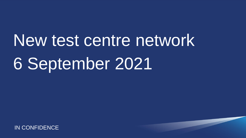New test centre network 6 September 2021

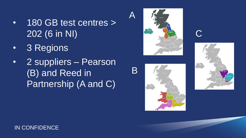- 180 GB test centres > 202 (6 in NI)
- 3 Regions
- 2 suppliers Pearson (B) and Reed in Partnership (A and C)



A

B





C

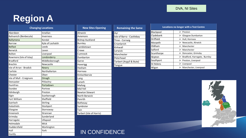## **Region A**

| <b>Changing Locations</b>     |                  | <b>New Sites Opening</b> | Remair       |  |  |
|-------------------------------|------------------|--------------------------|--------------|--|--|
| Aberdeen                      | Innellan         | Alnwick                  | Ayr          |  |  |
| <b>Balivanich (Benbecula)</b> | Inverness        | Aviemore                 | Isle of Bari |  |  |
| Ballymena                     | Kendal           | <b>Bishop Auckland</b>   | Tiree - Cor  |  |  |
| <b>Barrow</b>                 | Kyle of Lochalsh | <b>Burnley</b>           | Crianlarich  |  |  |
| <b>Belfast</b>                | Leeds            | Cambletown               | Kirkwall     |  |  |
| <b>Berwick</b>                | Leven            | Crewe                    | Lerwick      |  |  |
| <b>Bolton</b>                 | Liverpool        | Cumnock                  | Manchest     |  |  |
| Bowmore (Isle of Islay)       | Londonderry      | Dumbarton                | Peterhead    |  |  |
| <b>Bradford</b>               | Middlesborough   | Garve                    | Tarbert (A   |  |  |
| <b>Brechin</b>                | Newcastle        | Haverigg                 | Tongue       |  |  |
| Isle of Arran - Brodick       | <b>Newry</b>     | Hexham                   |              |  |  |
| Carlisle                      | Northallerton    | Hornsea                  |              |  |  |
| Chester                       | Oban             | Kinlochbervie            |              |  |  |
| Isle of Mull - Craignure      | Omagh            | Lairg                    |              |  |  |
| Doncaster                     | Pitlochry        | Lanark                   |              |  |  |
| <b>Dumfries</b>               | Portadown        | Mallaig                  |              |  |  |
| Dundee                        | Portree          | Mid Yell                 |              |  |  |
| Edinburgh                     | Preston          | <b>Newton Stewart</b>    |              |  |  |
| Elgin                         | Scarborough      | North Berwick            |              |  |  |
| Fort William                  | Sheffield        | Penrith                  |              |  |  |
| Gairloch                      | Stirling         | Rothesay                 |              |  |  |
| Galashiels                    | Stockport        | Symbister                |              |  |  |
| Glasgow                       | Stornoway        | Tain                     |              |  |  |
| Greenock                      | Stranraer        | Tarbert (Isle of Harris) |              |  |  |
| Grimsby                       | Sunderland       |                          |              |  |  |
| Harrogate                     | Ullapool         |                          |              |  |  |
| Helmsdale                     | Wick             |                          |              |  |  |
| Huddersfield                  | Workington       |                          |              |  |  |
| Hull                          | York             | <b>IN CONFIDENCE</b>     |              |  |  |
| Huntly                        |                  |                          |              |  |  |

| <b>Remaining the Same</b> |
|---------------------------|
| Ayr                       |
| Isle of Barra - Castlebay |
| Tiree - Cornaig           |
| Crianlarich               |
| Kirkwall                  |
| Lerwick                   |
| Manchester                |
| Peterhead                 |
| Tarbert (Argyll & Bute)   |
| Tongue                    |
|                           |
|                           |
|                           |
|                           |
|                           |
|                           |
|                           |
|                           |
|                           |
|                           |
|                           |
|                           |
|                           |

| Locations no longer with a Test Centre |                                        |  |  |
|----------------------------------------|----------------------------------------|--|--|
| Blackpool                              | Preston<br>⋗                           |  |  |
| Clydebank                              | <b>Glasgow Dumbarton</b><br>⋗          |  |  |
| Driffield                              | Hull, Hornsea<br>⋗                     |  |  |
| Morpeth                                | $\triangleright$ Newcastle, Alnwick    |  |  |
| Oldham                                 | Manchester<br>⋗                        |  |  |
| Salford                                | Manchester<br>⋗                        |  |  |
| Scunthorpe                             | Doncaster, Grimsby<br>⋗                |  |  |
| Skipton                                | Bradford, Harrogate, Burnley<br>⋗      |  |  |
| Southport                              | Preston, Liverpool                     |  |  |
| <b>St Helens</b>                       | Liverpool                              |  |  |
| Wigan                                  | $\triangleright$ Manchester, Liverpool |  |  |

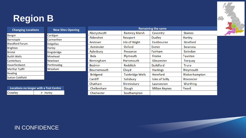## **Region B**



| <b>Changing Locations</b> | <b>New Sites Opening</b> |
|---------------------------|--------------------------|
| <b>Bangor</b>             | Cardigan                 |
| Barnstaple                | Carmarthen               |
| <b>Blandford Forum</b>    | Dolgellau                |
| <b>Brighton</b>           | Horley                   |
| <b>Bristol</b>            | Kingsbridge              |
| <b>Builth Wells</b>       | Minehead                 |
| Canterbury                | Newtown                  |
| Haverfordwest             | Porthmadog               |
| Merthyr Tydfil            | Wrexham                  |
| Reading                   |                          |
| <b>Sutton Coldfield</b>   |                          |

| Locations no longer with a Test Centre |                         |  |  |
|----------------------------------------|-------------------------|--|--|
| Crawley                                | $\triangleright$ Horley |  |  |

| <b>Remaining the same</b> |                        |                        |                  |
|---------------------------|------------------------|------------------------|------------------|
| Aberystwyth               | <b>Romney Marsh</b>    | Coventry               | <b>Staines</b>   |
| Aldershot                 | Newport                | <b>Dudley</b>          | Hanley           |
| Andover                   | Isle of Wight          | <b>Eastbourne</b>      | <b>Stratford</b> |
| Axminster                 | Oxford                 | Exeter                 | Swansea          |
| Aylesbury                 | Penzance               | Fairham                | Swindon          |
| <b>Bala</b>               | Plymouth               | Frome                  | <b>Taunton</b>   |
| <b>Birmingham</b>         | Portsmouth             | Gloucester             | <b>Torquay</b>   |
| <b>Bodmin</b>             | <b>Redditch</b>        | Guildford              | <b>Truro</b>     |
| <b>Bournemouth</b>        | Clwyd                  | <b>Hastings</b>        | Weymouth         |
| <b>Bridgend</b>           | <b>Tunbridge Wells</b> | <b>Hereford</b>        | Wolverhampton    |
| Cardiff                   | Salisbury              | <b>Isles of Scilly</b> | Worcester        |
| Chatham                   | Shrewsbury             | Launceston             | Worthing         |
| Cheltenham                | Slough                 | <b>Milton Keynes</b>   | Yeovil           |
| Chichester                | Southampton            |                        |                  |